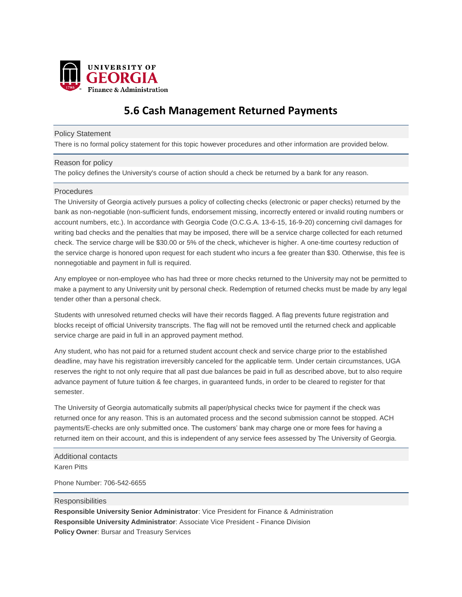

# **5.6 Cash Management Returned Payments**

## Policy Statement

There is no formal policy statement for this topic however procedures and other information are provided below.

### Reason for policy

The policy defines the University's course of action should a check be returned by a bank for any reason.

### **Procedures**

The University of Georgia actively pursues a policy of collecting checks (electronic or paper checks) returned by the bank as non-negotiable (non-sufficient funds, endorsement missing, incorrectly entered or invalid routing numbers or account numbers, etc.). In accordance with Georgia Code (O.C.G.A. 13-6-15, 16-9-20) concerning civil damages for writing bad checks and the penalties that may be imposed, there will be a service charge collected for each returned check. The service charge will be \$30.00 or 5% of the check, whichever is higher. A one-time courtesy reduction of the service charge is honored upon request for each student who incurs a fee greater than \$30. Otherwise, this fee is nonnegotiable and payment in full is required.

Any employee or non-employee who has had three or more checks returned to the University may not be permitted to make a payment to any University unit by personal check. Redemption of returned checks must be made by any legal tender other than a personal check.

Students with unresolved returned checks will have their records flagged. A flag prevents future registration and blocks receipt of official University transcripts. The flag will not be removed until the returned check and applicable service charge are paid in full in an approved payment method.

Any student, who has not paid for a returned student account check and service charge prior to the established deadline, may have his registration irreversibly canceled for the applicable term. Under certain circumstances, UGA reserves the right to not only require that all past due balances be paid in full as described above, but to also require advance payment of future tuition & fee charges, in guaranteed funds, in order to be cleared to register for that semester.

The University of Georgia automatically submits all paper/physical checks twice for payment if the check was returned once for any reason. This is an automated process and the second submission cannot be stopped. ACH payments/E-checks are only submitted once. The customers' bank may charge one or more fees for having a returned item on their account, and this is independent of any service fees assessed by The University of Georgia.

Additional contacts

Karen Pitts

Phone Number: 706-542-6655

#### **Responsibilities**

**Responsible University Senior Administrator**: Vice President for Finance & Administration **Responsible University Administrator**: Associate Vice President - Finance Division **Policy Owner**: Bursar and Treasury Services